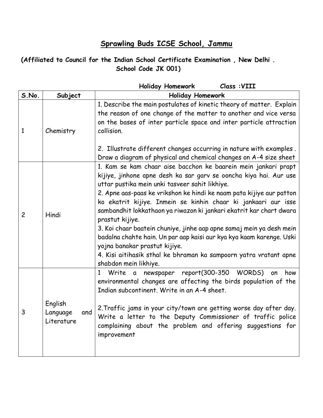## **Sprawling Buds ICSE School, Jammu**

## **(Affiliated to Council for the Indian School Certificate Examination , New Delhi . School Code JK 001)**

|                |                                          | Class : VIII<br><b>Holiday Homework</b>                                                                                                                                                                                                                                                                                                                                                                                                                                                                                                                                                                                                                                                                  |
|----------------|------------------------------------------|----------------------------------------------------------------------------------------------------------------------------------------------------------------------------------------------------------------------------------------------------------------------------------------------------------------------------------------------------------------------------------------------------------------------------------------------------------------------------------------------------------------------------------------------------------------------------------------------------------------------------------------------------------------------------------------------------------|
| S.No.          | Subject                                  | <b>Holiday Homework</b>                                                                                                                                                                                                                                                                                                                                                                                                                                                                                                                                                                                                                                                                                  |
| $\mathbf{1}$   | Chemistry                                | 1. Describe the main postulates of kinetic theory of matter. Explain<br>the reason of one change of the matter to another and vice versa<br>on the bases of inter particle space and inter particle attraction<br>collision.<br>2. Illustrate different changes occurring in nature with examples.<br>Draw a diagram of physical and chemical changes on A-4 size sheet                                                                                                                                                                                                                                                                                                                                  |
| $\overline{c}$ | Hindi                                    | 1. Kam se kam chaar aise bacchon ke baarein mein jankari prapt<br>kijiye, jinhone apne desh ka sar garv se ooncha kiya hai. Aur use<br>uttar pustika mein unki tasveer sahit likhiye.<br>2. Apne aas-paas ke vrikshon ke hindi ke naam pata kijiye aur patton<br>ko ekatrit kijiye. Inmein se kinhin chaar ki jankaari aur isse<br>sambandhit lokkathaon ya riwazon ki jankari ekatrit kar chart dwara<br>prastut kijiye.<br>3. Koi chaar baatein chuniye, jinhe aap apne samaj mein ya desh mein<br>badalna chahte hain. Un par aap kaisi aur kya kya kaam karenge. Uski<br>yojna banakar prastut kijiye.<br>4. Kisi aitihasik sthal ke bhraman ka sampoorn yatra vratant apne<br>shabdon mein likhiye. |
| 3              | English<br>Language<br>and<br>Literature | newspaper report(300-350 WORDS)<br>$\mathbf{1}$<br>Write<br>how<br>$\mathfrak{a}$<br>on<br>environmental changes are affecting the birds population of the<br>Indian subcontinent. Write in an A-4 sheet.<br>2. Traffic jams in your city/town are getting worse day after day.<br>Write a letter to the Deputy Commissioner of traffic police<br>complaining about the problem and offering suggestions for<br>improvement                                                                                                                                                                                                                                                                              |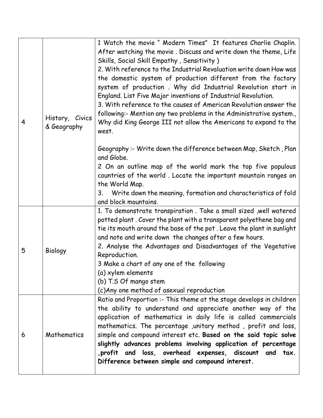| 4 | History, Civics<br>& Geography | 1 Watch the movie " Modern Times" It features Charlie Chaplin.<br>After watching the movie. Discuss and write down the theme, Life<br>Skills, Social Skill Empathy, Sensitivity)<br>2. With reference to the Industrial Revaluation write down How was<br>the domestic system of production different from the factory<br>system of production. Why did Industrial Revolution start in<br>England. List Five Major inventions of Industrial Revolution.<br>3. With reference to the causes of American Revolution answer the<br>following:- Mention any two problems in the Administrative system.,<br>Why did King George III not allow the Americans to expand to the<br>west.<br>Geography:- Write down the difference between Map, Sketch, Plan<br>and Globe.<br>2 On an outline map of the world mark the top five populous<br>countries of the world. Locate the important mountain ranges on<br>the World Map. |
|---|--------------------------------|-----------------------------------------------------------------------------------------------------------------------------------------------------------------------------------------------------------------------------------------------------------------------------------------------------------------------------------------------------------------------------------------------------------------------------------------------------------------------------------------------------------------------------------------------------------------------------------------------------------------------------------------------------------------------------------------------------------------------------------------------------------------------------------------------------------------------------------------------------------------------------------------------------------------------|
|   |                                | 3. Write down the meaning, formation and characteristics of fold<br>and block mountains.                                                                                                                                                                                                                                                                                                                                                                                                                                                                                                                                                                                                                                                                                                                                                                                                                              |
| 5 | Biology                        | 1. To demonstrate transpiration. Take a small sized, well watered<br>potted plant. Cover the plant with a transparent polyethene bag and<br>tie its mouth around the base of the pot. Leave the plant in sunlight<br>and note and write down the changes after a few hours.<br>2. Analyse the Advantages and Disadvantages of the Vegetative<br>Reproduction.<br>3 Make a chart of any one of the following<br>(a) xylem elements<br>(b) T.S Of mango stem<br>(c) Any one method of asexual reproduction                                                                                                                                                                                                                                                                                                                                                                                                              |
| 6 | Mathematics                    | Ratio and Proportion :- This theme at the stage develops in children<br>the ability to understand and appreciate another way of the<br>application of mathematics in daily life is called commercials<br>mathematics. The percentage , unitary method, profit and loss,<br>simple and compound interest etc. Based on the said topic solve<br>slightly advances problems involving application of percentage<br>, profit and loss, overhead expenses, discount and tax.<br>Difference between simple and compound interest.                                                                                                                                                                                                                                                                                                                                                                                           |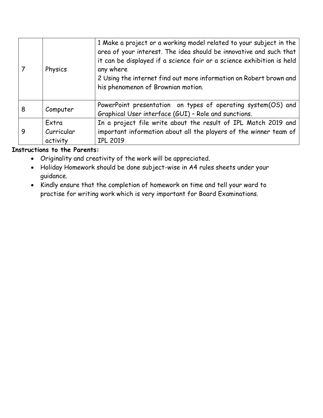|   | Physics    | 1 Make a project or a working model related to your subject in the<br>area of your interest. The idea should be innovative and such that<br>it can be displayed if a science fair or a science exhibition is held<br>any where<br>2 Using the internet find out more information on Robert brown and<br>his phenomenon of Brownian motion. |
|---|------------|--------------------------------------------------------------------------------------------------------------------------------------------------------------------------------------------------------------------------------------------------------------------------------------------------------------------------------------------|
| 8 | Computer   | PowerPoint presentation on types of operating system(OS) and<br>Graphical User interface (GUI) - Role and sunctions.                                                                                                                                                                                                                       |
|   | Extra      | In a project file write about the result of IPL Match 2019 and                                                                                                                                                                                                                                                                             |
|   | Curricular | important information about all the players of the winner team of                                                                                                                                                                                                                                                                          |
|   | activity   | <b>IPL 2019</b>                                                                                                                                                                                                                                                                                                                            |

## **Instructions to the Parents:**

- Originality and creativity of the work will be appreciated.
- Holiday Homework should be done subject-wise in A4 rules sheets under your guidance.
- Kindly ensure that the completion of homework on time and tell your ward to practise for writing work which is very important for Board Examinations.